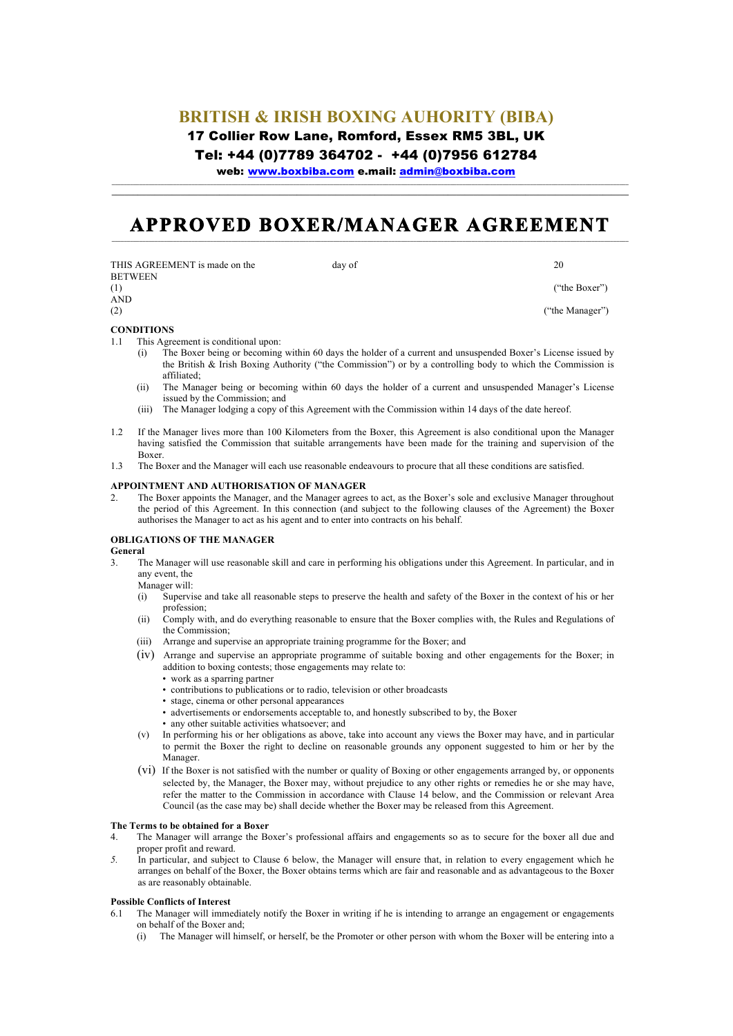## **BRITISH & IRISH BOXING AUHORITY (BIBA)** 17 Collier Row Lane, Romford, Essex RM5 3BL, UK

Tel: +44 (0)7789 364702 - +44 (0)7956 612784

web: www.boxbiba.com e.mail: admin@boxbiba.com

# APPROVED BOXER/MANAGER AGREEMENT

**\_\_\_\_\_\_\_\_\_\_\_\_\_\_\_\_\_\_\_\_\_\_\_\_\_\_\_\_\_\_\_\_\_\_\_\_\_\_\_\_\_\_\_\_\_\_\_\_\_\_\_\_\_\_\_\_\_\_\_\_\_\_\_\_\_\_\_\_\_\_\_\_\_\_\_\_\_\_\_\_\_\_\_\_\_\_\_\_\_\_\_\_\_\_\_\_\_\_\_\_\_\_\_\_\_\_\_\_\_\_\_\_\_\_\_\_\_\_\_\_**

| THIS AGREEMENT is made on the | day of | 20              |
|-------------------------------|--------|-----------------|
| <b>BETWEEN</b><br>(1)         |        | ("the Boxer")   |
| <b>AND</b>                    |        |                 |
| (2)                           |        | ("the Manager") |

#### **CONDITIONS**

- 1.1 This Agreement is conditional upon:
	- (i) The Boxer being or becoming within 60 days the holder of a current and unsuspended Boxer's License issued by the British & Irish Boxing Authority ("the Commission") or by a controlling body to which the Commission is affiliated;
	- (ii) The Manager being or becoming within 60 days the holder of a current and unsuspended Manager's License issued by the Commission; and
	- (iii) The Manager lodging a copy of this Agreement with the Commission within 14 days of the date hereof.
- 1.2 If the Manager lives more than 100 Kilometers from the Boxer, this Agreement is also conditional upon the Manager having satisfied the Commission that suitable arrangements have been made for the training and supervision of the Boxer.
- 1.3 The Boxer and the Manager will each use reasonable endeavours to procure that all these conditions are satisfied.

#### **APPOINTMENT AND AUTHORISATION OF MANAGER**

2. The Boxer appoints the Manager, and the Manager agrees to act, as the Boxer's sole and exclusive Manager throughout the period of this Agreement. In this connection (and subject to the following clauses of the Agreement) the Boxer authorises the Manager to act as his agent and to enter into contracts on his behalf.

#### **OBLIGATIONS OF THE MANAGER**

- **General**
- 3. The Manager will use reasonable skill and care in performing his obligations under this Agreement. In particular, and in any event, the
	- Manager will:
	- (i) Supervise and take all reasonable steps to preserve the health and safety of the Boxer in the context of his or her profession;
	- (ii) Comply with, and do everything reasonable to ensure that the Boxer complies with, the Rules and Regulations of the Commission;
	- (iii) Arrange and supervise an appropriate training programme for the Boxer; and
	- (iv) Arrange and supervise an appropriate programme of suitable boxing and other engagements for the Boxer; in addition to boxing contests; those engagements may relate to:
		- work as a sparring partner
		- contributions to publications or to radio, television or other broadcasts
		- stage, cinema or other personal appearances
		- advertisements or endorsements acceptable to, and honestly subscribed to by, the Boxer
		- any other suitable activities whatsoever; and
	- (v) In performing his or her obligations as above, take into account any views the Boxer may have, and in particular to permit the Boxer the right to decline on reasonable grounds any opponent suggested to him or her by the Manager.
	- (vi) If the Boxer is not satisfied with the number or quality of Boxing or other engagements arranged by, or opponents selected by, the Manager, the Boxer may, without prejudice to any other rights or remedies he or she may have, refer the matter to the Commission in accordance with Clause 14 below, and the Commission or relevant Area Council (as the case may be) shall decide whether the Boxer may be released from this Agreement.

#### **The Terms to be obtained for a Boxer**

- 4. The Manager will arrange the Boxer's professional affairs and engagements so as to secure for the boxer all due and proper profit and reward.
- *5.* In particular, and subject to Clause 6 below, the Manager will ensure that, in relation to every engagement which he arranges on behalf of the Boxer, the Boxer obtains terms which are fair and reasonable and as advantageous to the Boxer as are reasonably obtainable.

#### **Possible Conflicts of Interest**

- 6.1 The Manager will immediately notify the Boxer in writing if he is intending to arrange an engagement or engagements on behalf of the Boxer and;
	- (i) The Manager will himself, or herself, be the Promoter or other person with whom the Boxer will be entering into a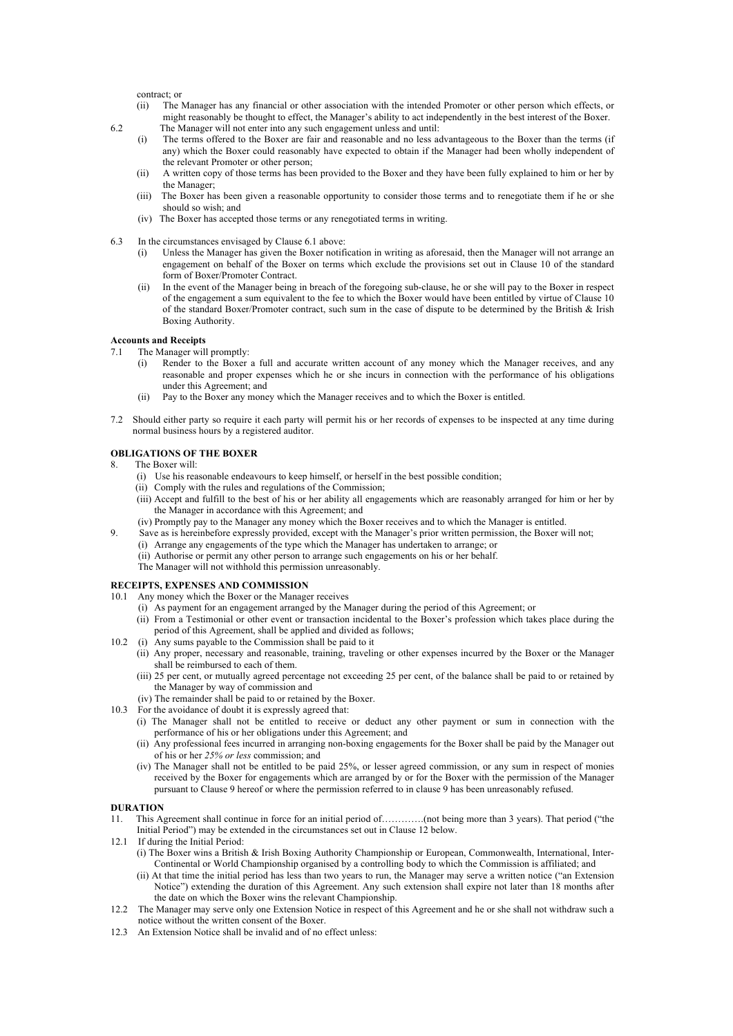contract; or

- (ii) The Manager has any financial or other association with the intended Promoter or other person which effects, or might reasonably be thought to effect, the Manager's ability to act independently in the best interest of the Boxer. 6.2 The Manager will not enter into any such engagement unless and until:
	- (i) The terms offered to the Boxer are fair and reasonable and no less advantageous to the Boxer than the terms (if any) which the Boxer could reasonably have expected to obtain if the Manager had been wholly independent of the relevant Promoter or other person;
	- (ii) A written copy of those terms has been provided to the Boxer and they have been fully explained to him or her by the Manager;
	- (iii) The Boxer has been given a reasonable opportunity to consider those terms and to renegotiate them if he or she should so wish; and
	- (iv) The Boxer has accepted those terms or any renegotiated terms in writing.
- 6.3 In the circumstances envisaged by Clause 6.1 above:
	- (i) Unless the Manager has given the Boxer notification in writing as aforesaid, then the Manager will not arrange an engagement on behalf of the Boxer on terms which exclude the provisions set out in Clause 10 of the standard form of Boxer/Promoter Contract.
	- (ii) In the event of the Manager being in breach of the foregoing sub-clause, he or she will pay to the Boxer in respect of the engagement a sum equivalent to the fee to which the Boxer would have been entitled by virtue of Clause 10 of the standard Boxer/Promoter contract, such sum in the case of dispute to be determined by the British & Irish Boxing Authority.

#### **Accounts and Receipts**

- 7.1 The Manager will promptly:
	- (i) Render to the Boxer a full and accurate written account of any money which the Manager receives, and any reasonable and proper expenses which he or she incurs in connection with the performance of his obligations under this Agreement; and
	- (ii) Pay to the Boxer any money which the Manager receives and to which the Boxer is entitled.
- 7.2 Should either party so require it each party will permit his or her records of expenses to be inspected at any time during normal business hours by a registered auditor.

#### **OBLIGATIONS OF THE BOXER**

- 8. The Boxer will:
	- (i) Use his reasonable endeavours to keep himself, or herself in the best possible condition;
	- (ii) Comply with the rules and regulations of the Commission;
	- (iii) Accept and fulfill to the best of his or her ability all engagements which are reasonably arranged for him or her by the Manager in accordance with this Agreement; and
	- (iv) Promptly pay to the Manager any money which the Boxer receives and to which the Manager is entitled.
- 9. Save as is hereinbefore expressly provided, except with the Manager's prior written permission, the Boxer will not;
	- (i) Arrange any engagements of the type which the Manager has undertaken to arrange; or
	- (ii) Authorise or permit any other person to arrange such engagements on his or her behalf.
	- The Manager will not withhold this permission unreasonably.

#### **RECEIPTS, EXPENSES AND COMMISSION**

- 10.1 Any money which the Boxer or the Manager receives
	- (i) As payment for an engagement arranged by the Manager during the period of this Agreement; or
	- (ii) From a Testimonial or other event or transaction incidental to the Boxer's profession which takes place during the period of this Agreement, shall be applied and divided as follows;
- 10.2 (i) Any sums payable to the Commission shall be paid to it
	- (ii) Any proper, necessary and reasonable, training, traveling or other expenses incurred by the Boxer or the Manager shall be reimbursed to each of them.
	- (iii) 25 per cent, or mutually agreed percentage not exceeding 25 per cent, of the balance shall be paid to or retained by the Manager by way of commission and
	- (iv) The remainder shall be paid to or retained by the Boxer.
- 10.3 For the avoidance of doubt it is expressly agreed that:
	- (i) The Manager shall not be entitled to receive or deduct any other payment or sum in connection with the performance of his or her obligations under this Agreement; and
	- (ii) Any professional fees incurred in arranging non-boxing engagements for the Boxer shall be paid by the Manager out of his or her *25% or less* commission; and
	- (iv) The Manager shall not be entitled to be paid 25%, or lesser agreed commission, or any sum in respect of monies received by the Boxer for engagements which are arranged by or for the Boxer with the permission of the Manager pursuant to Clause 9 hereof or where the permission referred to in clause 9 has been unreasonably refused.

#### **DURATION**

- 11. This Agreement shall continue in force for an initial period of………….(not being more than 3 years). That period ("the Initial Period") may be extended in the circumstances set out in Clause 12 below.
- 12.1 If during the Initial Period: (i) The Boxer wins a British & Irish Boxing Authority Championship or European, Commonwealth, International, Inter-Continental or World Championship organised by a controlling body to which the Commission is affiliated; and
	- (ii) At that time the initial period has less than two years to run, the Manager may serve a written notice ("an Extension Notice") extending the duration of this Agreement. Any such extension shall expire not later than 18 months after the date on which the Boxer wins the relevant Championship.
- 12.2 The Manager may serve only one Extension Notice in respect of this Agreement and he or she shall not withdraw such a notice without the written consent of the Boxer.
- 12.3 An Extension Notice shall be invalid and of no effect unless: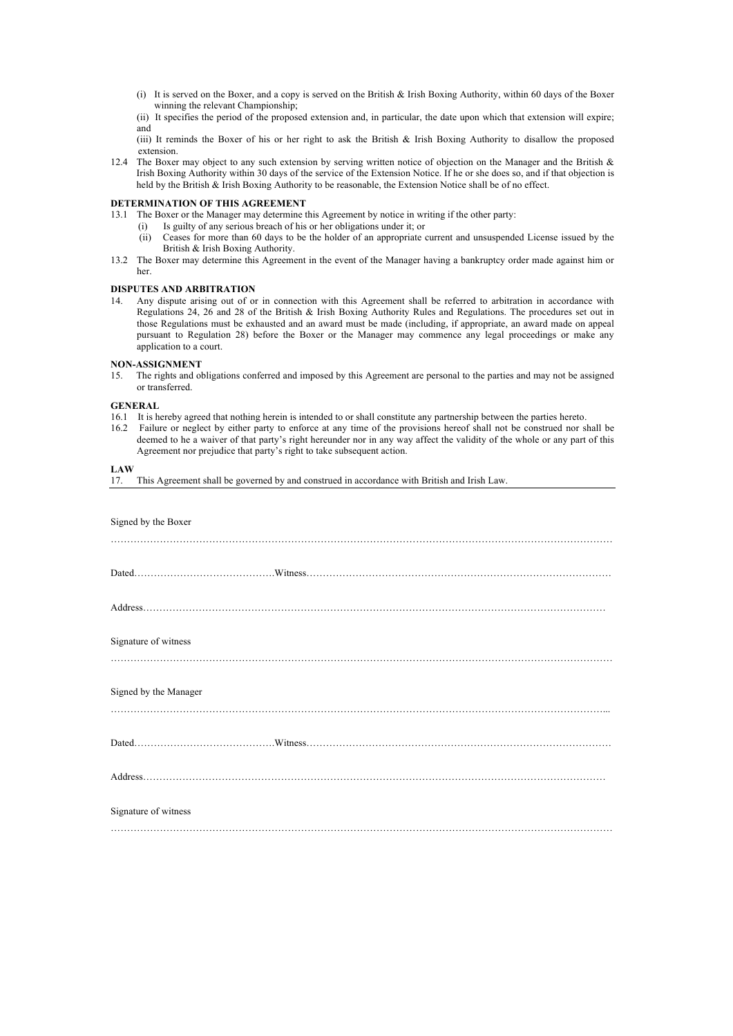- (i) It is served on the Boxer, and a copy is served on the British & Irish Boxing Authority, within 60 days of the Boxer winning the relevant Championship;
- (ii) It specifies the period of the proposed extension and, in particular, the date upon which that extension will expire; and
- (iii) It reminds the Boxer of his or her right to ask the British & Irish Boxing Authority to disallow the proposed extension.
- 12.4 The Boxer may object to any such extension by serving written notice of objection on the Manager and the British  $\&$ Irish Boxing Authority within 30 days of the service of the Extension Notice. If he or she does so, and if that objection is held by the British & Irish Boxing Authority to be reasonable, the Extension Notice shall be of no effect.

#### **DETERMINATION OF THIS AGREEMENT**

- 13.1 The Boxer or the Manager may determine this Agreement by notice in writing if the other party:
	- (i) Is guilty of any serious breach of his or her obligations under it; or
	- (ii) Ceases for more than 60 days to be the holder of an appropriate current and unsuspended License issued by the British & Irish Boxing Authority.
- 13.2 The Boxer may determine this Agreement in the event of the Manager having a bankruptcy order made against him or her.

#### **DISPUTES AND ARBITRATION**

14. Any dispute arising out of or in connection with this Agreement shall be referred to arbitration in accordance with Regulations 24, 26 and 28 of the British & Irish Boxing Authority Rules and Regulations. The procedures set out in those Regulations must be exhausted and an award must be made (including, if appropriate, an award made on appeal pursuant to Regulation 28) before the Boxer or the Manager may commence any legal proceedings or make any application to a court.

#### **NON-ASSIGNMENT**

15. The rights and obligations conferred and imposed by this Agreement are personal to the parties and may not be assigned or transferred.

#### **GENERAL**

- 16.1 It is hereby agreed that nothing herein is intended to or shall constitute any partnership between the parties hereto.
- 16.2 Failure or neglect by either party to enforce at any time of the provisions hereof shall not be construed nor shall be deemed to he a waiver of that party's right hereunder nor in any way affect the validity of the whole or any part of this Agreement nor prejudice that party's right to take subsequent action.

#### **LAW**

| 17. This Agreement shall be governed by and construed in accordance with British and Irish Law. |  |  |
|-------------------------------------------------------------------------------------------------|--|--|
|                                                                                                 |  |  |

| Signed by the Boxer   |  |
|-----------------------|--|
|                       |  |
|                       |  |
|                       |  |
| Signature of witness  |  |
| Signed by the Manager |  |
|                       |  |
|                       |  |
| Signature of witness  |  |
|                       |  |